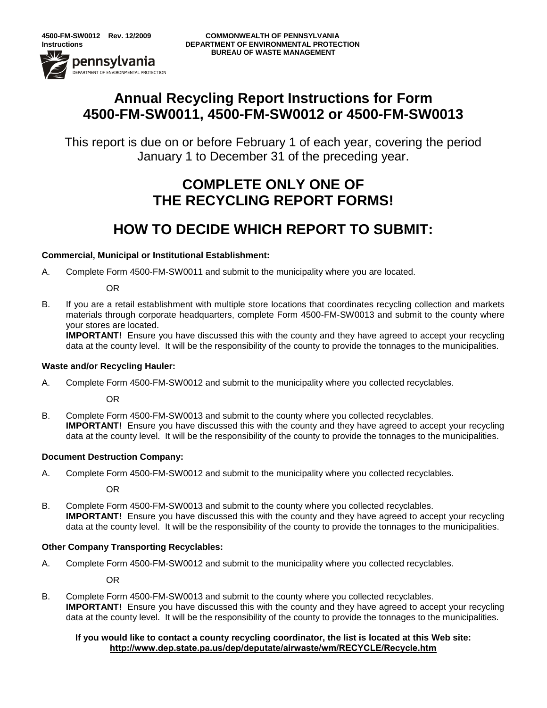-<br>DEPARTMENT OF ENVIRONMENTAL PROTECTION

# **Annual Recycling Report Instructions for Form 4500-FM-SW0011, 4500-FM-SW0012 or 4500-FM-SW0013**

This report is due on or before February 1 of each year, covering the period January 1 to December 31 of the preceding year.

# **COMPLETE ONLY ONE OF THE RECYCLING REPORT FORMS!**

# **HOW TO DECIDE WHICH REPORT TO SUBMIT:**

### **Commercial, Municipal or Institutional Establishment:**

A. Complete Form 4500-FM-SW0011 and submit to the municipality where you are located.

OR

B. If you are a retail establishment with multiple store locations that coordinates recycling collection and markets materials through corporate headquarters, complete Form 4500-FM-SW0013 and submit to the county where your stores are located.

**IMPORTANT!** Ensure you have discussed this with the county and they have agreed to accept your recycling data at the county level. It will be the responsibility of the county to provide the tonnages to the municipalities.

#### **Waste and/or Recycling Hauler:**

A. Complete Form 4500-FM-SW0012 and submit to the municipality where you collected recyclables.

OR

B. Complete Form 4500-FM-SW0013 and submit to the county where you collected recyclables. **IMPORTANT!** Ensure you have discussed this with the county and they have agreed to accept your recycling data at the county level. It will be the responsibility of the county to provide the tonnages to the municipalities.

#### **Document Destruction Company:**

A. Complete Form 4500-FM-SW0012 and submit to the municipality where you collected recyclables.

OR

B. Complete Form 4500-FM-SW0013 and submit to the county where you collected recyclables. **IMPORTANT!** Ensure you have discussed this with the county and they have agreed to accept your recycling data at the county level. It will be the responsibility of the county to provide the tonnages to the municipalities.

#### **Other Company Transporting Recyclables:**

A. Complete Form 4500-FM-SW0012 and submit to the municipality where you collected recyclables.

OR

B. Complete Form 4500-FM-SW0013 and submit to the county where you collected recyclables. **IMPORTANT!** Ensure you have discussed this with the county and they have agreed to accept your recycling data at the county level. It will be the responsibility of the county to provide the tonnages to the municipalities.

#### **If you would like to contact a county recycling coordinator, the list is located at this Web site: <http://www.dep.state.pa.us/dep/deputate/airwaste/wm/RECYCLE/Recycle.htm>**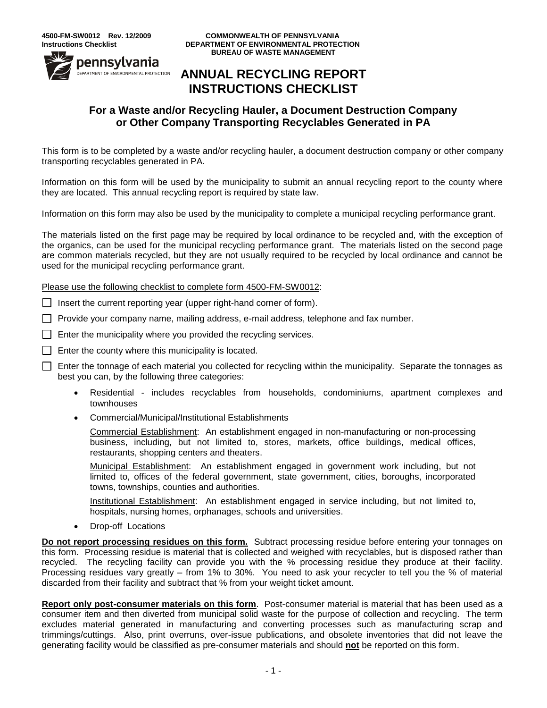

#### **4500-FM-SW0012 Rev. 12/2009 COMMONWEALTH OF PENNSYLVANIA Instructions Checklist DEPARTMENT OF ENVIRONMENTAL PROTECTION BUREAU OF WASTE MANAGEMENT**

### **ANNUAL RECYCLING REPORT INSTRUCTIONS CHECKLIST**

### **For a Waste and/or Recycling Hauler, a Document Destruction Company or Other Company Transporting Recyclables Generated in PA**

This form is to be completed by a waste and/or recycling hauler, a document destruction company or other company transporting recyclables generated in PA.

Information on this form will be used by the municipality to submit an annual recycling report to the county where they are located. This annual recycling report is required by state law.

Information on this form may also be used by the municipality to complete a municipal recycling performance grant.

The materials listed on the first page may be required by local ordinance to be recycled and, with the exception of the organics, can be used for the municipal recycling performance grant. The materials listed on the second page are common materials recycled, but they are not usually required to be recycled by local ordinance and cannot be used for the municipal recycling performance grant.

Please use the following checklist to complete form 4500-FM-SW0012:

 $\Box$  Insert the current reporting year (upper right-hand corner of form).

 $\Box$  Provide your company name, mailing address, e-mail address, telephone and fax number.

 $\Box$  Enter the municipality where you provided the recycling services.

 $\Box$  Enter the county where this municipality is located.

 $\Box$  Enter the tonnage of each material you collected for recycling within the municipality. Separate the tonnages as best you can, by the following three categories:

- Residential includes recyclables from households, condominiums, apartment complexes and townhouses
- Commercial/Municipal/Institutional Establishments

Commercial Establishment: An establishment engaged in non-manufacturing or non-processing business, including, but not limited to, stores, markets, office buildings, medical offices, restaurants, shopping centers and theaters.

Municipal Establishment: An establishment engaged in government work including, but not limited to, offices of the federal government, state government, cities, boroughs, incorporated towns, townships, counties and authorities.

Institutional Establishment: An establishment engaged in service including, but not limited to, hospitals, nursing homes, orphanages, schools and universities.

Drop-off Locations

**Do not report processing residues on this form.** Subtract processing residue before entering your tonnages on this form. Processing residue is material that is collected and weighed with recyclables, but is disposed rather than recycled. The recycling facility can provide you with the % processing residue they produce at their facility. Processing residues vary greatly – from 1% to 30%. You need to ask your recycler to tell you the % of material discarded from their facility and subtract that % from your weight ticket amount.

**Report only post-consumer materials on this form**. Post-consumer material is material that has been used as a consumer item and then diverted from municipal solid waste for the purpose of collection and recycling. The term excludes material generated in manufacturing and converting processes such as manufacturing scrap and trimmings/cuttings. Also, print overruns, over-issue publications, and obsolete inventories that did not leave the generating facility would be classified as pre-consumer materials and should **not** be reported on this form.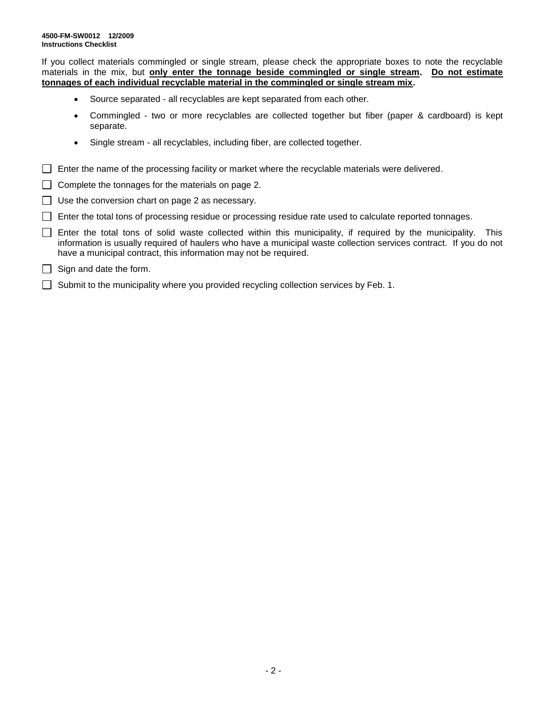If you collect materials commingled or single stream, please check the appropriate boxes to note the recyclable materials in the mix, but **only enter the tonnage beside commingled or single stream. Do not estimate tonnages of each individual recyclable material in the commingled or single stream mix.**

- Source separated all recyclables are kept separated from each other.
- Commingled two or more recyclables are collected together but fiber (paper & cardboard) is kept separate.
- Single stream all recyclables, including fiber, are collected together.
- $\Box$  Enter the name of the processing facility or market where the recyclable materials were delivered.
- $\Box$  Complete the tonnages for the materials on page 2.
- $\Box$  Use the conversion chart on page 2 as necessary.
- Enter the total tons of processing residue or processing residue rate used to calculate reported tonnages.
- $\Box$  Enter the total tons of solid waste collected within this municipality, if required by the municipality. This information is usually required of haulers who have a municipal waste collection services contract. If you do not have a municipal contract, this information may not be required.
- $\Box$  Sign and date the form.
- $\Box$  Submit to the municipality where you provided recycling collection services by Feb. 1.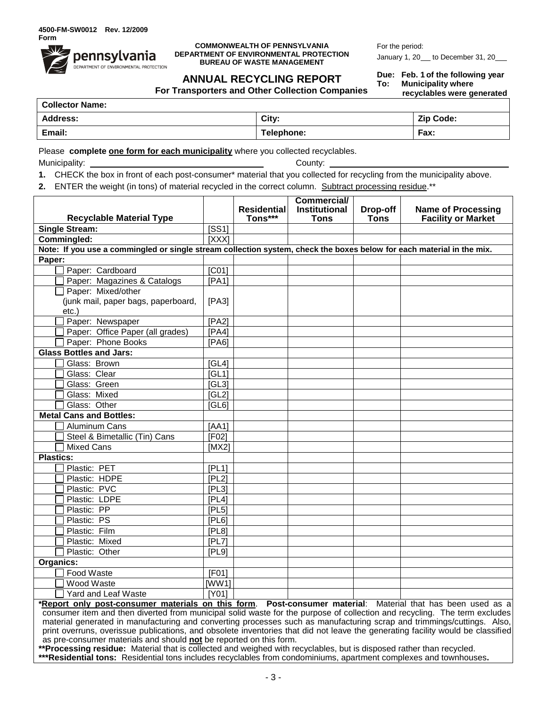

#### **COMMONWEALTH OF PENNSYLVANIA DEPARTMENT OF ENVIRONMENTAL PROTECTION BUREAU OF WASTE MANAGEMENT**

For the period: January 1, 20\_ to December 31, 20\_

### **ANNUAL RECYCLING REPORT**

**For Transporters and Other Collection Companies**

**Due: Feb. 1 of the following year To: Municipality where recyclables were generated**

| <b>Collector Name:</b> |            |                  |  |  |  |
|------------------------|------------|------------------|--|--|--|
| Address:               | City:      | <b>Zip Code:</b> |  |  |  |
| Email:                 | Telephone: | Fax:             |  |  |  |

Please **complete one form for each municipality** where you collected recyclables.

Municipality: County:

- **1.** CHECK the box in front of each post-consumer\* material that you collected for recycling from the municipality above.
- **2.** ENTER the weight (in tons) of material recycled in the correct column. Subtract processing residue.\*\*

|                                                                                                                                 |                    |                               | <b>Commercial/</b>   |                         |                                                        |  |  |  |  |
|---------------------------------------------------------------------------------------------------------------------------------|--------------------|-------------------------------|----------------------|-------------------------|--------------------------------------------------------|--|--|--|--|
|                                                                                                                                 |                    | <b>Residential</b><br>Tons*** | <b>Institutional</b> | Drop-off<br><b>Tons</b> | <b>Name of Processing</b><br><b>Facility or Market</b> |  |  |  |  |
| <b>Recyclable Material Type</b>                                                                                                 |                    |                               | <b>Tons</b>          |                         |                                                        |  |  |  |  |
| <b>Single Stream:</b>                                                                                                           | [SS1]<br>[XXX]     |                               |                      |                         |                                                        |  |  |  |  |
| Commingled:                                                                                                                     |                    |                               |                      |                         |                                                        |  |  |  |  |
| Note: If you use a commingled or single stream collection system, check the boxes below for each material in the mix.<br>Paper: |                    |                               |                      |                         |                                                        |  |  |  |  |
| Paper: Cardboard                                                                                                                | $\overline{[C01]}$ |                               |                      |                         |                                                        |  |  |  |  |
|                                                                                                                                 | [PA1]              |                               |                      |                         |                                                        |  |  |  |  |
| Paper: Magazines & Catalogs<br>Paper: Mixed/other                                                                               |                    |                               |                      |                         |                                                        |  |  |  |  |
| (junk mail, paper bags, paperboard,                                                                                             | [PA3]              |                               |                      |                         |                                                        |  |  |  |  |
| $etc.$ )                                                                                                                        |                    |                               |                      |                         |                                                        |  |  |  |  |
| Paper: Newspaper                                                                                                                | [PA2]              |                               |                      |                         |                                                        |  |  |  |  |
| Paper: Office Paper (all grades)                                                                                                | [PA4]              |                               |                      |                         |                                                        |  |  |  |  |
| Paper: Phone Books                                                                                                              | [PA6]              |                               |                      |                         |                                                        |  |  |  |  |
| <b>Glass Bottles and Jars:</b>                                                                                                  |                    |                               |                      |                         |                                                        |  |  |  |  |
| Glass: Brown                                                                                                                    | [GL4]              |                               |                      |                         |                                                        |  |  |  |  |
| Glass: Clear                                                                                                                    | [GL1]              |                               |                      |                         |                                                        |  |  |  |  |
| Glass: Green                                                                                                                    | [GL3]              |                               |                      |                         |                                                        |  |  |  |  |
| Glass: Mixed                                                                                                                    | [GL2]              |                               |                      |                         |                                                        |  |  |  |  |
| Glass: Other                                                                                                                    | [GL6]              |                               |                      |                         |                                                        |  |  |  |  |
| <b>Metal Cans and Bottles:</b>                                                                                                  |                    |                               |                      |                         |                                                        |  |  |  |  |
| Aluminum Cans                                                                                                                   | [AA1]              |                               |                      |                         |                                                        |  |  |  |  |
| Steel & Bimetallic (Tin) Cans                                                                                                   | [FO2]              |                               |                      |                         |                                                        |  |  |  |  |
| <b>Mixed Cans</b>                                                                                                               | IMX2               |                               |                      |                         |                                                        |  |  |  |  |
| <b>Plastics:</b>                                                                                                                |                    |                               |                      |                         |                                                        |  |  |  |  |
| Plastic: PET                                                                                                                    | [PL1]              |                               |                      |                         |                                                        |  |  |  |  |
| Plastic: HDPE                                                                                                                   | [PL2]              |                               |                      |                         |                                                        |  |  |  |  |
| Plastic: PVC                                                                                                                    | [PL3]              |                               |                      |                         |                                                        |  |  |  |  |
| Plastic: LDPE                                                                                                                   | [PL4]              |                               |                      |                         |                                                        |  |  |  |  |
| Plastic: PP                                                                                                                     | [PL5]              |                               |                      |                         |                                                        |  |  |  |  |
| Plastic: PS                                                                                                                     | [PL6]              |                               |                      |                         |                                                        |  |  |  |  |
| Plastic: Film                                                                                                                   | [PL8]              |                               |                      |                         |                                                        |  |  |  |  |
| Plastic: Mixed                                                                                                                  | [PL7]              |                               |                      |                         |                                                        |  |  |  |  |
| Plastic: Other                                                                                                                  | [PL9]              |                               |                      |                         |                                                        |  |  |  |  |
| Organics:                                                                                                                       |                    |                               |                      |                         |                                                        |  |  |  |  |
| Food Waste                                                                                                                      | [FO1]              |                               |                      |                         |                                                        |  |  |  |  |
| Wood Waste                                                                                                                      | [WW1]              |                               |                      |                         |                                                        |  |  |  |  |
| Yard and Leaf Waste                                                                                                             | [Y01]              |                               |                      |                         |                                                        |  |  |  |  |

**\*Report only post-consumer materials on this form**. **Post-consumer material**: Material that has been used as a consumer item and then diverted from municipal solid waste for the purpose of collection and recycling. The term excludes material generated in manufacturing and converting processes such as manufacturing scrap and trimmings/cuttings. Also, print overruns, overissue publications, and obsolete inventories that did not leave the generating facility would be classified as pre-consumer materials and should **not** be reported on this form.

**\*\*Processing residue:** Material that is collected and weighed with recyclables, but is disposed rather than recycled. **\*\*\*Residential tons:** Residential tons includes recyclables from condominiums, apartment complexes and townhouses**.**